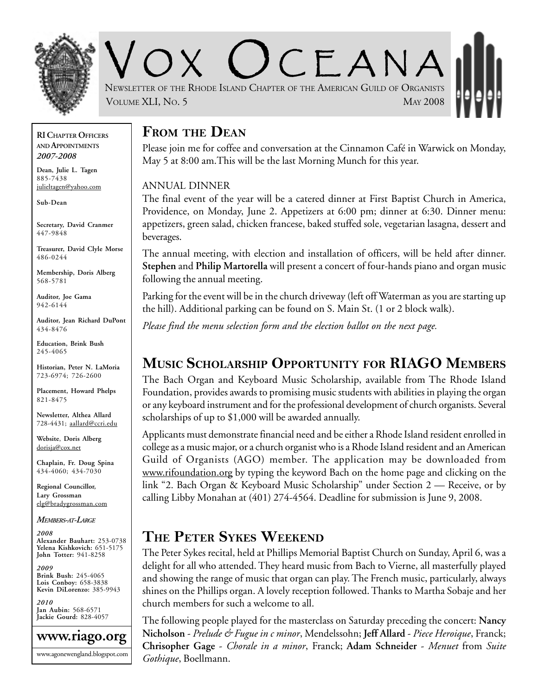

 $C$   $F$   $A$   $N$   $A$ NEWSLETTER OF THE RHODE ISLAND CHAPTER OF THE AMERICAN GUILD OF ORGANISTS VOLUME XLI, NO. 5 MAY 2008

#### **RI CHAPTER OFFICERS AND APPOINTMENTS** *2007-2008*

**Dean, Julie L. Tagen** 885-7438 julieltagen@yahoo.com

**Sub-Dean**

**Secretary, David Cranmer** 447-9848

**Treasurer, David Clyle Morse** 486-0244

**Membership, Doris Alberg** 568-5781

**Auditor, Joe Gama** 942-6144

**Auditor, Jean Richard DuPont** 434-8476

**Education, Brink Bush** 245-4065

**Historian, Peter N. LaMoria** 723-6974; 726-2600

**Placement, Howard Phelps** 821-8475

**Newsletter, Althea Allard** 728-4431; aallard@ccri.edu

**Website**, **Doris Alberg** dorisja@cox.net

**Chaplain, Fr. Doug Spina** 434-4060; 434-7030

**Regional Councillor, Lary Grossman** elg@bradygrossman.com

*MEMBERS-AT-LARGE*

*2008* **Alexander Bauhart:** 253-0738 **Yelena Kishkovich:** 651-5175 **John Totter:** 941-8258

*2009* **Brink Bush:** 245-4065 **Lois Conboy:** 658-3838 **Kevin DiLorenzo:** 385-9943

*2010* **Jan Aubin:** 568-6571 **Jackie Gourd:** 828-4057



### **FROM THE DEAN**

Please join me for coffee and conversation at the Cinnamon Café in Warwick on Monday, May 5 at 8:00 am.This will be the last Morning Munch for this year.

#### ANNUAL DINNER

The final event of the year will be a catered dinner at First Baptist Church in America, Providence, on Monday, June 2. Appetizers at 6:00 pm; dinner at 6:30. Dinner menu: appetizers, green salad, chicken francese, baked stuffed sole, vegetarian lasagna, dessert and beverages.

The annual meeting, with election and installation of officers, will be held after dinner. **Stephen** and **Philip Martorella** will present a concert of four-hands piano and organ music following the annual meeting.

Parking for the event will be in the church driveway (left off Waterman as you are starting up the hill). Additional parking can be found on S. Main St. (1 or 2 block walk).

*Please find the menu selection form and the election ballot on the next page.*

# **MUSIC SCHOLARSHIP OPPORTUNITY FOR RIAGO MEMBERS**

The Bach Organ and Keyboard Music Scholarship, available from The Rhode Island Foundation, provides awards to promising music students with abilities in playing the organ or any keyboard instrument and for the professional development of church organists. Several scholarships of up to \$1,000 will be awarded annually.

Applicants must demonstrate financial need and be either a Rhode Island resident enrolled in college as a music major, or a church organist who is a Rhode Island resident and an American Guild of Organists (AGO) member. The application may be downloaded from www.rifoundation.org by typing the keyword Bach on the home page and clicking on the link "2. Bach Organ & Keyboard Music Scholarship" under Section 2 — Receive, or by calling Libby Monahan at (401) 274-4564. Deadline for submission is June 9, 2008.

# **THE PETER SYKES WEEKEND**

The Peter Sykes recital, held at Phillips Memorial Baptist Church on Sunday, April 6, was a delight for all who attended. They heard music from Bach to Vierne, all masterfully played and showing the range of music that organ can play. The French music, particularly, always shines on the Phillips organ. A lovely reception followed. Thanks to Martha Sobaje and her church members for such a welcome to all.

The following people played for the masterclass on Saturday preceding the concert: **Nancy Nicholson** - *Prelude & Fugue in c minor*, Mendelssohn; **Jeff Allard** - *Piece Heroique*, Franck; **Chrisopher Gage** - *Chorale in a minor*, Franck; **Adam Schneider** - *Menuet* from *Suite Gothique*, Boellmann.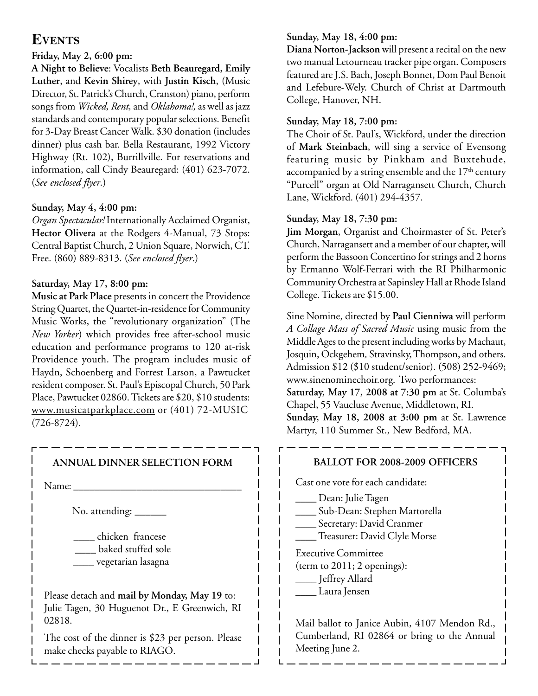### **EVENTS**

#### **Friday, May 2, 6:00 pm:**

**A Night to Believe**: Vocalists **Beth Beauregard, Emily Luther**, and **Kevin Shirey**, with **Justin Kisch**, (Music Director, St. Patrick's Church, Cranston) piano, perform songs from *Wicked, Rent,* and *Oklahoma!,* as well as jazz standards and contemporary popular selections. Benefit for 3-Day Breast Cancer Walk. \$30 donation (includes dinner) plus cash bar. Bella Restaurant, 1992 Victory Highway (Rt. 102), Burrillville. For reservations and information, call Cindy Beauregard: (401) 623-7072. (*See enclosed flyer*.)

#### **Sunday, May 4, 4:00 pm:**

*Organ Spectacular!* Internationally Acclaimed Organist, **Hector Olivera** at the Rodgers 4-Manual, 73 Stops: Central Baptist Church, 2 Union Square, Norwich, CT. Free. (860) 889-8313. (*See enclosed flyer*.)

### **Saturday, May 17, 8:00 pm:**

**Music at Park Place** presents in concert the Providence String Quartet, the Quartet-in-residence for Community Music Works, the "revolutionary organization" (The *New Yorker*) which provides free after-school music education and performance programs to 120 at-risk Providence youth. The program includes music of Haydn, Schoenberg and Forrest Larson, a Pawtucket resident composer. St. Paul's Episcopal Church, 50 Park Place, Pawtucket 02860. Tickets are \$20, \$10 students: www.musicatparkplace.com or (401) 72-MUSIC (726-8724).

### **ANNUAL DINNER SELECTION FORM**

Name:

No. attending: \_\_\_\_\_\_\_

 \_\_\_\_ chicken francese \_\_\_\_ baked stuffed sole \_\_\_\_ vegetarian lasagna

Please detach and **mail by Monday, May 19** to: Julie Tagen, 30 Huguenot Dr., E Greenwich, RI 02818.

The cost of the dinner is \$23 per person. Please make checks payable to RIAGO.

### **Sunday, May 18, 4:00 pm:**

**Diana Norton-Jackson** will present a recital on the new two manual Letourneau tracker pipe organ. Composers featured are J.S. Bach, Joseph Bonnet, Dom Paul Benoit and Lefebure-Wely. Church of Christ at Dartmouth College, Hanover, NH.

#### **Sunday, May 18, 7:00 pm:**

The Choir of St. Paul's, Wickford, under the direction of **Mark Steinbach**, will sing a service of Evensong featuring music by Pinkham and Buxtehude, accompanied by a string ensemble and the  $17<sup>th</sup>$  century "Purcell" organ at Old Narragansett Church, Church Lane, Wickford. (401) 294-4357.

### **Sunday, May 18, 7:30 pm:**

**Jim Morgan**, Organist and Choirmaster of St. Peter's Church, Narragansett and a member of our chapter, will perform the Bassoon Concertino for strings and 2 horns by Ermanno Wolf-Ferrari with the RI Philharmonic Community Orchestra at Sapinsley Hall at Rhode Island College. Tickets are \$15.00.

Sine Nomine, directed by **Paul Cienniwa** will perform *A Collage Mass of Sacred Music* using music from the Middle Ages to the present including works by Machaut, Josquin, Ockgehem*,* Stravinsky, Thompson, and others. Admission \$12 (\$10 student/senior). (508) 252-9469; www.sinenominechoir.org. Two performances: **Saturday, May 17, 2008 at 7:30 pm** at St. Columba's Chapel, 55 Vaucluse Avenue, Middletown, RI. **Sunday, May 18, 2008 at 3:00 pm** at St. Lawrence Martyr, 110 Summer St., New Bedford, MA.

| <b>BALLOT FOR 2008-2009 OFFICERS</b>                                                                          |  |
|---------------------------------------------------------------------------------------------------------------|--|
| Cast one vote for each candidate:                                                                             |  |
| Dean: Julie Tagen<br>Sub-Dean: Stephen Martorella<br>Secretary: David Cranmer<br>Treasurer: David Clyle Morse |  |
| <b>Executive Committee</b><br>(term to $2011$ ; 2 openings):<br>Jeffrey Allard<br>Laura Jensen                |  |
| Mail ballot to Ianice Aubin, 4107 Mendon Rd.                                                                  |  |

Mail ballot to Janice Aubin, 4107 Mendon Rd., Cumberland, RI 02864 or bring to the Annual Meeting June 2.